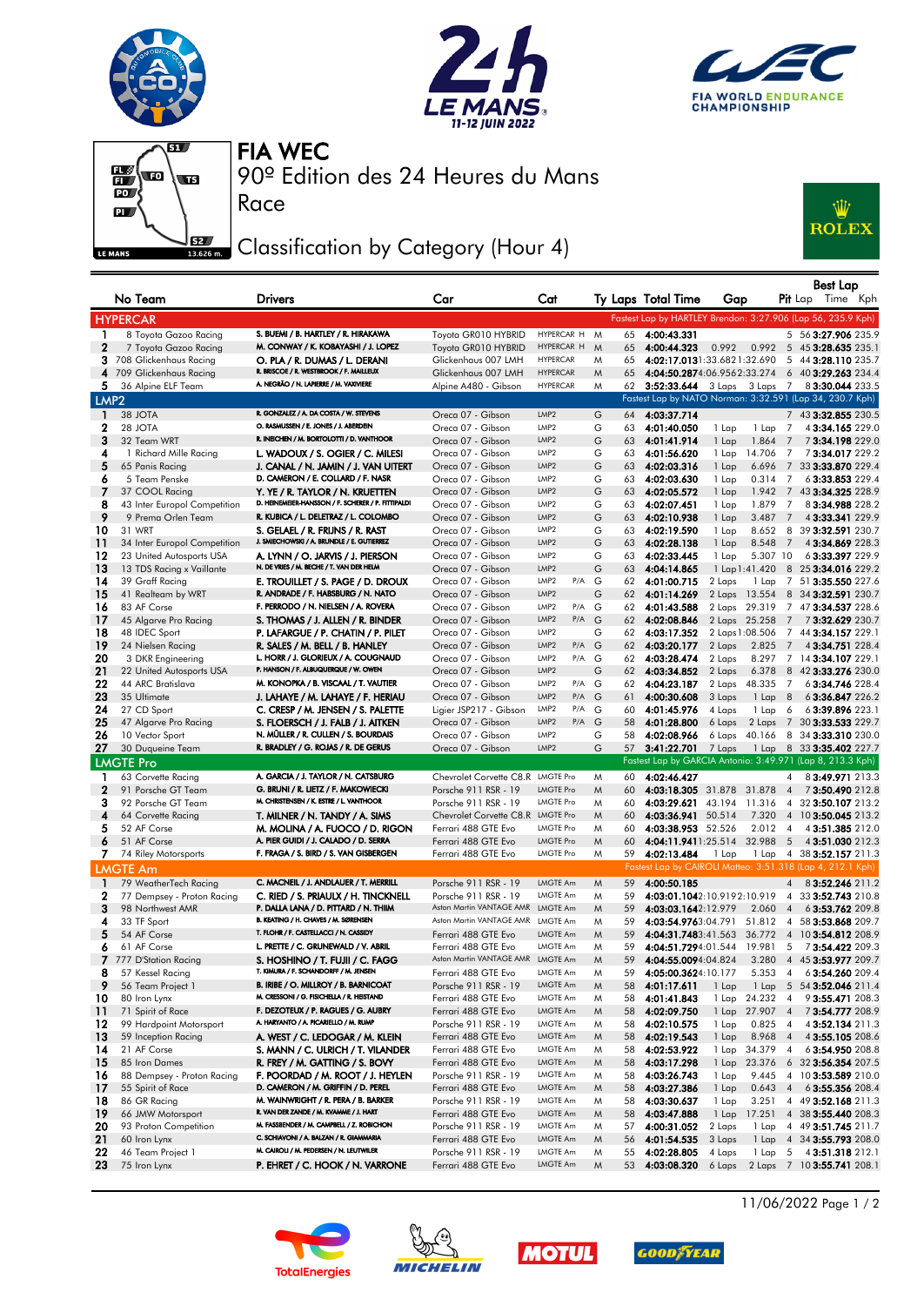







Race

90º Edition des 24 Heures du Mans FIA WEC

## Classification by Category (Hour 4)



|                  | No Team                            | Drivers                                                                              | Car                                    | Cat                               |   |          | Ty Laps Total Time            | Gap              |                |                | Best Lap<br><b>Pit</b> Lap<br>Time Kph                       |
|------------------|------------------------------------|--------------------------------------------------------------------------------------|----------------------------------------|-----------------------------------|---|----------|-------------------------------|------------------|----------------|----------------|--------------------------------------------------------------|
|                  | <b>HYPERCAR</b>                    |                                                                                      |                                        |                                   |   |          |                               |                  |                |                | Fastest Lap by HARTLEY Brendon: 3:27.906 (Lap 56, 235.9 Kph) |
| 1                | 8 Toyota Gazoo Racing              | S. BUEMI / B. HARTLEY / R. HIRAKAWA                                                  | Toyota GR010 HYBRID                    | HYPERCAR H                        | M | 65       | 4:00:43.331                   |                  |                |                | 5 56 3:27.906 235.9                                          |
| 2                | 7 Toyota Gazoo Racing              | M. CONWAY / K. KOBAYASHI / J. LOPEZ                                                  | Toyota GR010 HYBRID                    | HYPERCAR H                        | M | 65       | 4:00:44.323                   | 0.992            |                |                | 0.992 5 45 3:28.635 235.1                                    |
|                  | 3 708 Glickenhaus Racing           | O. PLA / R. DUMAS / L. DERANI                                                        | Glickenhaus 007 LMH                    | <b>HYPERCAR</b>                   | M | 65       | 4:02:17.0131:33.6821:32.690   |                  |                |                | 5 44 3:28.110 235.7                                          |
|                  | 4 709 Glickenhaus Racing           | R. BRISCOE / R. WESTBROOK / F. MAILLEUX                                              | Glickenhaus 007 LMH                    | <b>HYPERCAR</b>                   | M | 65       |                               |                  |                |                | 4:04:50.2874:06.9562:33.274 6 40 3:29.263 234.4              |
| 5.               | 36 Alpine ELF Team                 | A. NEGRÃO / N. LAPIERRE / M. VAXIVIERE                                               | Alpine A480 - Gibson                   | <b>HYPERCAR</b>                   | M | 62       |                               |                  |                |                | 3:52:33.644 3 Laps 3 Laps 7 8 3:30.044 233.5                 |
| LMP <sub>2</sub> |                                    |                                                                                      |                                        |                                   |   |          |                               |                  |                |                | Fastest Lap by NATO Norman: 3:32.591 (Lap 34, 230.7 Kph)     |
| $\mathbf{1}$     | 38 JOTA                            | R. GONZALEZ / A. DA COSTA / W. STEVENS                                               | Oreca 07 - Gibson                      | LMP2                              | G | 64       | 4:03:37.714                   |                  |                |                | 7 43 3:32.855 230.5                                          |
| 2                | 28 JOTA                            | O. RASMUSSEN / E. JONES / J. ABERDEIN                                                | Oreca 07 - Gibson                      | LMP2                              | G | 63       | 4:01:40.050                   | 1 Lap            | 1 Lap          | 7              | 43:34.165 229.0                                              |
| 3                | 32 Team WRT                        | R. INEICHEN / M. BORTOLOTTI / D. VANTHOOR                                            | Oreca 07 - Gibson                      | LMP <sub>2</sub>                  | G | 63       | 4:01:41.914                   | 1 Lap            | 1.864          | 7              | 73:34.198229.0                                               |
| 4                | 1 Richard Mille Racing             | L. WADOUX / S. OGIER / C. MILESI                                                     | Oreca 07 - Gibson                      | LMP2                              | G | 63       | 4:01:56.620                   | 1 Lap            | 14.706         | 7              | 73:34.017229.2                                               |
| 5                | 65 Panis Racing                    | J. CANAL / N. JAMIN / J. VAN UITERT                                                  | Oreca 07 - Gibson                      | LMP <sub>2</sub>                  | G | 63       | 4:02:03.316                   | 1 Lap            | 6.696          | $\overline{7}$ | 33 3:33.870 229.4                                            |
| 6                | 5 Team Penske                      | D. CAMERON / E. COLLARD / F. NASR                                                    | Oreca 07 - Gibson                      | LMP2                              | G | 63       | 4:02:03.630                   | 1 Lap            | 0.314          | 7              | 63:33.853 229.4                                              |
| 7                | 37 COOL Racing                     | Y. YE / R. TAYLOR / N. KRUETTEN                                                      | Oreca 07 - Gibson                      | LMP <sub>2</sub>                  | G | 63       | 4:02:05.572                   | 1 Lap            | 1.942          |                | 7 43 3:34.325 228.9                                          |
| 8                | 43 Inter Europol Competition       | D. HEINEMEIER-HANSSON / F. SCHERER / P. FITTIPALDI                                   | Oreca 07 - Gibson                      | LMP2                              | G | 63       | 4:02:07.451                   | 1 Lap            | 1.879          | 7              | 83:34.988 228.2                                              |
| 9                | 9 Prema Orlen Team                 | R. KUBICA / L. DELETRAZ / L. COLOMBO                                                 | Oreca 07 - Gibson                      | LMP <sub>2</sub>                  | G | 63       | 4:02:10.938                   | 1 Lap            | 3.487          | $\overline{7}$ | 4 3:33.341 229.9                                             |
| 10               | 31 WRT                             | S. GELAEL / R. FRIJNS / R. RAST                                                      | Oreca 07 - Gibson                      | LMP2                              | G | 63       | 4:02:19.590                   | 1 Lap            | 8.652          | 8              | 39 3:32.591 230.7                                            |
| 11               | 34 Inter Europol Competition       | J. SMIECHOWSKI / A. BRUNDLE / E. GUTIERREZ                                           | Oreca 07 - Gibson                      | LMP <sub>2</sub>                  | G | 63       | 4:02:28.138                   | 1 Lap            | 8.548          | $\overline{7}$ | 43:34.869 228.3                                              |
| 12               | 23 United Autosports USA           | A. LYNN / O. JARVIS / J. PIERSON                                                     | Oreca 07 - Gibson                      | LMP2                              | G | 63       | 4:02:33.445                   | 1 Lap            | 5.307 10       |                | 63:33.397 229.9                                              |
| 13               | 13 TDS Racing x Vaillante          | N. DE VRIES / M. BECHE / T. VAN DER HELM                                             | Oreca 07 - Gibson                      | LMP <sub>2</sub>                  | G | 63       | 4:04:14.865                   | 1 Lap 1:41.420   |                |                | 8 25 3:34.016 229.2                                          |
| 14               | 39 Graff Racing                    | E. TROUILLET / S. PAGE / D. DROUX                                                    | Oreca 07 - Gibson                      | LMP <sub>2</sub><br>P/A G         |   |          | 62 4:01:00.715                | 2 Laps           | 1 Lap          |                | 7 51 3:35.550 227.6                                          |
| 15               | 41 Realteam by WRT                 | R. ANDRADE / F. HABSBURG / N. NATO                                                   | Oreca 07 - Gibson                      | LMP <sub>2</sub>                  | G | 62       | 4:01:14.269                   | 2 Laps           | 13.554         |                | 8 34 3:32.591 230.7                                          |
| 16               | 83 AF Corse                        | F. PERRODO / N. NIELSEN / A. ROVERA                                                  | Oreca 07 - Gibson                      | P/A G<br>LMP2                     |   | 62       | 4:01:43.588                   | 2 Laps 29.319    |                |                | 7 47 3:34.537 228.6                                          |
| 17               | 45 Algarve Pro Racing              | S. THOMAS / J. ALLEN / R. BINDER                                                     | Oreca 07 - Gibson                      | LMP <sub>2</sub><br>P/A G         |   | 62       | 4:02:08.846                   | 2 Laps 25.258    |                | $\overline{7}$ | 73:32.629 230.7                                              |
| 18               | 48 IDEC Sport<br>24 Nielsen Racing | P. LAFARGUE / P. CHATIN / P. PILET                                                   | Oreca 07 - Gibson                      | LMP2<br>LMP <sub>2</sub><br>P/A G | G |          | 62 4:03:17.352<br>4:03:20.177 | 2 Laps 1:08.506  |                |                | 7 44 3:34.157 229.1                                          |
| 19<br>20         | 3 DKR Engineering                  | R. SALES / M. BELL / B. HANLEY<br>L. HORR / J. GLORIEUX / A. COUGNAUD                | Oreca 07 - Gibson<br>Oreca 07 - Gibson | LMP2<br>P/A G                     |   | 62<br>62 | 4:03:28.474                   | 2 Laps<br>2 Laps | 2.825<br>8.297 | $\overline{7}$ | 4 3:34.751 228.4<br>7 14 3:34.107 229.1                      |
| 21               | 22 United Autosports USA           | P. HANSON / F. ALBUQUERQUE / W. OWEN                                                 | Oreca 07 - Gibson                      | LMP <sub>2</sub>                  | G | 62       | 4:03:34.852                   | 2 Laps           | 6.378          |                | 8 42 3:33.276 230.0                                          |
| 22               | 44 ARC Bratislava                  | M. KONOPKA / B. VISCAAL / T. VAUTIER                                                 | Oreca 07 - Gibson                      | LMP2<br>P/A G                     |   |          | 62 4:04:23.187                | 2 Laps           | 48.335         | 7              | 63:34.746 228.4                                              |
| 23               | 35 Ultimate                        | J. LAHAYE / M. LAHAYE / F. HERIAU                                                    | Oreca 07 - Gibson                      | LMP <sub>2</sub><br>P/A G         |   | 61       | 4:00:30.608                   | 3 Laps           | 1 Lap          | 8              | 63:36.847 226.2                                              |
| 24               | 27 CD Sport                        | C. CRESP / M. JENSEN / S. PALETTE                                                    | Ligier JSP217 - Gibson                 | LMP2<br>P/A G                     |   | 60       | 4:01:45.976                   | 4 Laps           | 1 Lap          | 6              | 63:39.896 223.1                                              |
| 25               | 47 Algarve Pro Racing              | S. FLOERSCH / J. FALB / J. AITKEN                                                    | Oreca 07 - Gibson                      | LMP <sub>2</sub><br>P/A G         |   | 58       | 4:01:28.800                   | 6 Laps           |                |                | 2 Laps 7 30 3:33.533 229.7                                   |
| 26               | 10 Vector Sport                    | N. MÜLLER / R. CULLEN / S. BOURDAIS                                                  | Oreca 07 - Gibson                      | LMP2                              | G | 58       | 4:02:08.966                   | 6 Laps           | 40.166         | 8              | 34 3:33.310 230.0                                            |
| 27               | 30 Duqueine Team                   | R. BRADLEY / G. ROJAS / R. DE GERUS                                                  | Oreca 07 - Gibson                      | LMP <sub>2</sub>                  | G | 57       | 3:41:22.701                   | 7 Laps           | 1 Lap          |                | 8 33 3:35.402 227.7                                          |
|                  | <b>LMGTE Pro</b>                   |                                                                                      |                                        |                                   |   |          |                               |                  |                |                | Fastest Lap by GARCIA Antonio: 3:49.971 (Lap 8, 213.3 Kph)   |
| $\mathbf{1}$     | 63 Corvette Racing                 | A. GARCIA / J. TAYLOR / N. CATSBURG                                                  | Chevrolet Corvette C8.R LMGTE Pro      |                                   | M | 60       | 4:02:46.427                   |                  |                | 4              | 83:49.971 213.3                                              |
| $\mathbf{2}$     | 91 Porsche GT Team                 | G. BRUNI / R. LIETZ / F. MAKOWIECKI                                                  | Porsche 911 RSR - 19                   | <b>LMGTE Pro</b>                  | M | 60       | 4:03:18.305 31.878 31.878     |                  |                | $\overline{4}$ | 73:50.490 212.8                                              |
| 3                | 92 Porsche GT Team                 | M. CHRISTENSEN / K. ESTRE / L. VANTHOOR                                              | Porsche 911 RSR - 19                   | <b>LMGTE Pro</b>                  | M | 60       | 4:03:29.621                   | 43.194 11.316    |                | 4              | 32 3:50.107 213.2                                            |
| 4                | 64 Corvette Racing                 | T. MILNER / N. TANDY / A. SIMS                                                       | Chevrolet Corvette C8.R LMGTE Pro      |                                   | M | 60       | 4:03:36.941 50.514            |                  | 7.320          |                | 4 10 3:50.045 213.2                                          |
| 5                | 52 AF Corse                        | M. MOLINA / A. FUOCO / D. RIGON                                                      | Ferrari 488 GTE Evo                    | <b>LMGTE Pro</b>                  | M | 60       | 4:03:38.953 52.526            |                  | 2.012          | $\overline{4}$ | 4 3:51.385 212.0                                             |
| 6                | 51 AF Corse                        | A. PIER GUIDI / J. CALADO / D. SERRA                                                 | Ferrari 488 GTE Evo                    | <b>LMGTE Pro</b>                  | M | 60       | 4:04:11.9411:25.514 32.988 5  |                  |                |                | 4 3:51.030 212.3                                             |
| 7.               | 74 Riley Motorsports               | F. FRAGA / S. BIRD / S. VAN GISBERGEN                                                | Ferrari 488 GTE Evo                    | <b>LMGTE Pro</b>                  | M | 59       | 4:02:13.484                   | 1 Lap            |                |                | 1 Lap 4 38 3:52.157 211.3                                    |
|                  | <b>LMGTE Am</b>                    |                                                                                      |                                        |                                   |   |          |                               |                  |                |                | Fastest Lap by CAIROLI Matteo: 3:51.318 (Lap 4, 212.1 Kph)   |
| $\mathbf{1}$     | 79 WeatherTech Racing              | C. MACNEIL / J. ANDLAUER / T. MERRILL                                                | Porsche 911 RSR - 19                   | LMGTE Am                          | M | 59       | 4:00:50.185                   |                  |                |                | 4 8 3:52.246 211.2                                           |
| 2                | 77 Dempsey - Proton Racing         | C. RIED / S. PRIAULX / H. TINCKNELL                                                  | Porsche 911 RSR - 19                   | LMGTE Am                          | M | 59       | 4:03:01.1042:10.9192:10.919   |                  |                | 4              | 33 3:52.743 210.8                                            |
| 3                | 98 Northwest AMR                   | P. DALLA LANA / D. PITTARD / N. THIIM                                                | Aston Martin VANTAGE AMR               | LMGTE Am                          | M | 59       | 4:03:03.1642:12.979           |                  | 2.060          | $\overline{4}$ | 63:53.762 209.8                                              |
| 4                | 33 TF Sport                        | B. KEATING / H. CHAVES / M. SØRENSEN                                                 | Aston Martin VANTAGE AMR               | LMGTE Am                          | M | 59       | 4:03:54.9763:04.791           |                  | 51.812         | 4              | 58 3:53.868 209.7                                            |
| 5                | 54 AF Corse                        | T. FLOHR / F. CASTELLACCI / N. CASSIDY                                               | Ferrari 488 GTE Evo                    | <b>LMGTE Am</b>                   | M | 59       | 4:04:31.7483:41.563           |                  | 36.772         |                | 4 10 3:54.812 208.9                                          |
| 6                | 61 AF Corse                        | L. PRETTE / C. GRUNEWALD / V. ABRIL                                                  | Ferrari 488 GTE Evo                    | LMGTE Am                          | M | 59       | 4:04:51.7294:01.544 19.981    |                  |                |                | 5 73:54.422 209.3                                            |
|                  | 7 777 D'Station Racing             | S. HOSHINO / T. FUJII / C. FAGG                                                      | Aston Martin VANTAGE AMR               | LMGTE Am                          | M | 59       | 4:04:55.0094:04.824           |                  |                |                | 3.280 4 45 3:53.977 209.7                                    |
| 8                | 57 Kessel Racing                   | T. KIMURA / F. SCHANDORFF / M. JENSEN                                                | Ferrari 488 GTE Evo                    | LMGTE Am                          | M | 59       | 4:05:00.3624:10.177           |                  | 5.353          | $\overline{4}$ | 6 3:54.260 209.4                                             |
| 9                | 56 Team Project 1                  | B. IRIBE / O. MILLROY / B. BARNICOAT                                                 | Porsche 911 RSR - 19                   | LMGTE Am                          | M | 58       | 4:01:17.611                   | 1 Lap            | 1 Lap          | 5              | 54 3:52.046 211.4                                            |
| 10               | 80 Iron Lynx                       | M. CRESSONI / G. FISICHELLA / R. HEISTAND                                            | Ferrari 488 GTE Evo                    | LMGTE Am                          | M | 58       | 4:01:41.843                   | 1 Lap 24.232     |                | $\overline{4}$ | 9 3:55.471 208.3                                             |
| 11               | 71 Spirit of Race                  | F. DEZOTEUX / P. RAGUES / G. AUBRY                                                   | Ferrari 488 GTE Evo                    | LMGTE Am                          | M | 58       | 4:02:09.750                   | 1 Lap            | 27.907         | $\overline{4}$ | 73:54.777 208.9                                              |
| 12               | 99 Hardpoint Motorsport            | A. HARYANTO / A. PICARIELLO / M. RUMP                                                | Porsche 911 RSR - 19                   | LMGTE Am                          | M | 58       | 4:02:10.575                   | 1 Lap            | 0.825          | $\overline{4}$ | 4 3:52.134 211.3                                             |
| 13               | 59 Inception Racing                | A. WEST / C. LEDOGAR / M. KLEIN                                                      | Ferrari 488 GTE Evo                    | LMGTE Am                          | M | 58       | 4:02:19.543                   | 1 Lap            | 8.968          | $\overline{4}$ | 4 3:55.105 208.6                                             |
| 14               | 21 AF Corse                        | S. MANN / C. ULRICH / T. VILANDER                                                    | Ferrari 488 GTE Evo                    | LMGTE Am                          | M | 58       | 4:02:53.922                   | 1 Lap            | 34.379         | $\overline{4}$ | 63:54.950 208.8                                              |
| 15               | 85 Iron Dames                      | R. FREY / M. GATTING / S. BOVY                                                       | Ferrari 488 GTE Evo                    | LMGTE Am                          | M | 58       | 4:03:17.298                   | 1 Lap            | 23.376         |                | 6 32 3:56.354 207.5                                          |
| 16               | 88 Dempsey - Proton Racing         | F. POORDAD / M. ROOT / J. HEYLEN                                                     | Porsche 911 RSR - 19                   | LMGTE Am                          | M | 58       | 4:03:26.743                   | 1 Lap            | 9.445          |                | 4 10 3:53.589 210.0                                          |
| 17               | 55 Spirit of Race                  | D. CAMERON / M. GRIFFIN / D. PEREL                                                   | Ferrari 488 GTE Evo                    | LMGTE Am                          | M | 58       | 4:03:27.386                   | 1 Lap            | 0.643          | $\overline{4}$ | 63:55.356 208.4                                              |
| 18               | 86 GR Racing                       | M. WAINWRIGHT / R. PERA / B. BARKER                                                  | Porsche 911 RSR - 19                   | LMGTE Am                          | M | 58       | 4:03:30.637                   | 1 Lap            | 3.251          |                | 4 49 3:52.168 211.3                                          |
| 19               | 66 JMW Motorsport                  | R. VAN DER ZANDE / M. KVAMME / J. HART                                               | Ferrari 488 GTE Evo                    | LMGTE Am                          | M | 58       | 4:03:47.888                   | 1 Lap            | 17.251         |                | 4 38 3:55.440 208.3                                          |
| 20               | 93 Proton Competition              | M. FASSBENDER / M. CAMPBELL / Z. ROBICHON<br>C. SCHIAVONI / A. BALZAN / R. GIAMMARIA | Porsche 911 RSR - 19                   | LMGTE Am                          | M | 57       | 4:00:31.052                   | 2 Laps           | 1 Lap          |                | 4 49 3:51.745 211.7                                          |
| 21               | 60 Iron Lynx                       | M. CAIROLI / M. PEDERSEN / N. LEUTWILER                                              | Ferrari 488 GTE Evo                    | LMGTE Am                          | M | 56       | 4:01:54.535                   | 3 Laps           |                |                | 1 Lap 4 34 3:55.793 208.0                                    |
| 22               | 46 Team Project 1                  |                                                                                      | Porsche 911 RSR - 19                   | LMGTE Am                          | Μ | 55       | 4:02:28.805                   | 4 Laps           |                |                | 1 Lap 5 4 3:51.318 212.1                                     |
| 23               | 75 Iron Lynx                       | P. EHRET / C. HOOK / N. VARRONE                                                      | Ferrari 488 GTE Evo                    | LMGTE Am                          | M |          | 53 4:03:08.320                | 6 Laps           |                |                | 2 Laps 7 10 3:55.741 208.1                                   |









11/06/2022 Page 1 / 2